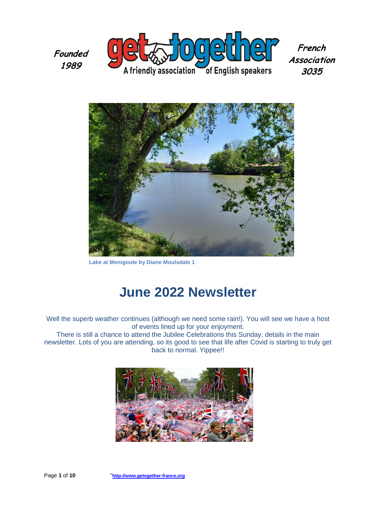**Founded 1989**



**French Association 3035**



**Lake at Menigoute by Diane Moulsdale 1**

# **June 2022 Newsletter**

Well the superb weather continues (although we need some rain!). You will see we have a host of events lined up for your enjoyment.

There is still a chance to attend the Jubilee Celebrations this Sunday, details in the main newsletter. Lots of you are attending, so its good to see that life after Covid is starting to truly get back to normal. Yippee!!

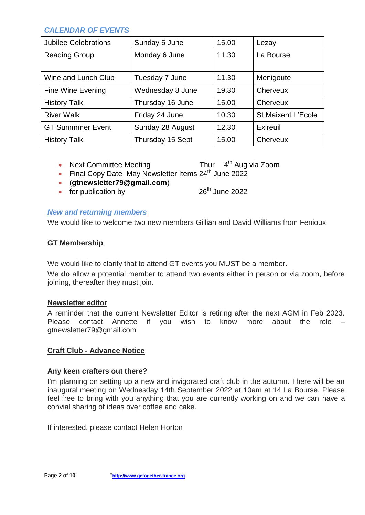### *CALENDAR OF EVENTS*

| <b>Jubilee Celebrations</b> | Sunday 5 June    | 15.00 | Lezay                     |
|-----------------------------|------------------|-------|---------------------------|
| <b>Reading Group</b>        | Monday 6 June    | 11.30 | La Bourse                 |
|                             |                  |       |                           |
| Wine and Lunch Club         | Tuesday 7 June   | 11.30 | Menigoute                 |
| Fine Wine Evening           | Wednesday 8 June | 19.30 | Cherveux                  |
| <b>History Talk</b>         | Thursday 16 June | 15.00 | Cherveux                  |
| <b>River Walk</b>           | Friday 24 June   | 10.30 | <b>St Maixent L'Ecole</b> |
| <b>GT Summmer Event</b>     | Sunday 28 August | 12.30 | Exireuil                  |
| <b>History Talk</b>         | Thursday 15 Sept | 15.00 | Cherveux                  |

- $\bullet$  Next Committee Meeting Thur  $4<sup>th</sup>$  Aug via Zoom
- Final Copy Date May Newsletter Items 24<sup>th</sup> June 2022
- (**[gtnewsletter79@gmail.com](mailto:gtnewsletter79@gmail.com)**)
- for publication by  $26<sup>th</sup>$  June 2022

### *New and returning members*

We would like to welcome two new members Gillian and David Williams from Fenioux

### **GT Membership**

We would like to clarify that to attend GT events you MUST be a member.

We **do** allow a potential member to attend two events either in person or via zoom, before joining, thereafter they must join.

### **Newsletter editor**

A reminder that the current Newsletter Editor is retiring after the next AGM in Feb 2023. Please contact Annette if you wish to know more about the role – gtnewsletter79@gmail.com

### **Craft Club - Advance Notice**

### **Any keen crafters out there?**

I'm planning on setting up a new and invigorated craft club in the autumn. There will be an inaugural meeting on Wednesday 14th September 2022 at 10am at 14 La Bourse. Please feel free to bring with you anything that you are currently working on and we can have a convial sharing of ideas over coffee and cake.

If interested, please contact Helen Horton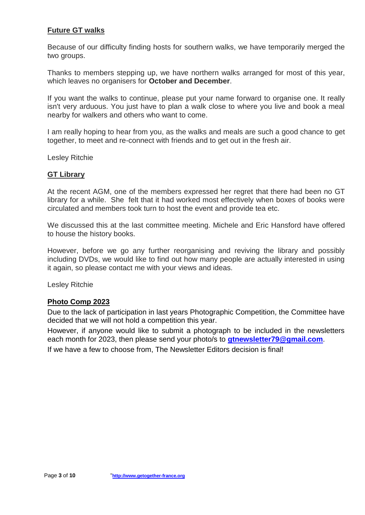### **Future GT walks**

Because of our difficulty finding hosts for southern walks, we have temporarily merged the two groups.

Thanks to members stepping up, we have northern walks arranged for most of this year, which leaves no organisers for **October and December**.

If you want the walks to continue, please put your name forward to organise one. It really isn't very arduous. You just have to plan a walk close to where you live and book a meal nearby for walkers and others who want to come.

I am really hoping to hear from you, as the walks and meals are such a good chance to get together, to meet and re-connect with friends and to get out in the fresh air.

Lesley Ritchie

### **GT Library**

At the recent AGM, one of the members expressed her regret that there had been no GT library for a while. She felt that it had worked most effectively when boxes of books were circulated and members took turn to host the event and provide tea etc.

We discussed this at the last committee meeting. Michele and Eric Hansford have offered to house the history books.

However, before we go any further reorganising and reviving the library and possibly including DVDs, we would like to find out how many people are actually interested in using it again, so please contact me with your views and ideas.

Lesley Ritchie

### **Photo Comp 2023**

Due to the lack of participation in last years Photographic Competition, the Committee have decided that we will not hold a competition this year.

However, if anyone would like to submit a photograph to be included in the newsletters each month for 2023, then please send your photo/s to **[gtnewsletter79@gmail.com](mailto:gtnewsletter79@gmail.com)**.

If we have a few to choose from, The Newsletter Editors decision is final!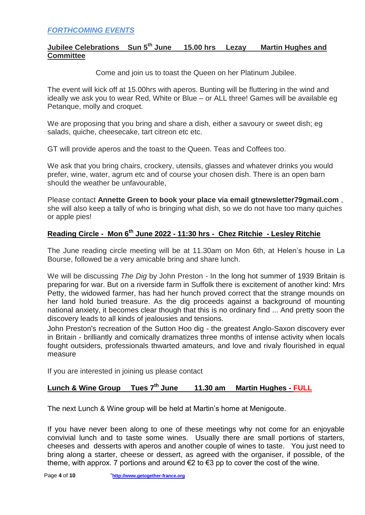### **Jubilee Celebrations Sun 5th June 15.00 hrs Lezay Martin Hughes and Committee**

Come and join us to toast the Queen on her Platinum Jubilee.

The event will kick off at 15.00hrs with aperos. Bunting will be fluttering in the wind and ideally we ask you to wear Red, White or Blue – or ALL three! Games will be available eg Petanque, molly and croquet.

We are proposing that you bring and share a dish, either a savoury or sweet dish; eg salads, quiche, cheesecake, tart citreon etc etc.

GT will provide aperos and the toast to the Queen. Teas and Coffees too.

We ask that you bring chairs, crockery, utensils, glasses and whatever drinks you would prefer, wine, water, agrum etc and of course your chosen dish. There is an open barn should the weather be unfavourable,

Please contact **Annette Green to book your place via email gtnewsletter79gmail.com** , she will also keep a tally of who is bringing what dish, so we do not have too many quiches or apple pies!

### **Reading Circle - Mon 6th June 2022 - 11:30 hrs - Chez Ritchie - Lesley Ritchie**

The June reading circle meeting will be at 11.30am on Mon 6th, at Helen's house in La Bourse, followed be a very amicable bring and share lunch.

We will be discussing *The Dig* by John Preston - In the long hot summer of 1939 Britain is preparing for war. But on a riverside farm in Suffolk there is excitement of another kind: Mrs Petty, the widowed farmer, has had her hunch proved correct that the strange mounds on her land hold buried treasure. As the dig proceeds against a background of mounting national anxiety, it becomes clear though that this is no ordinary find ... And pretty soon the discovery leads to all kinds of jealousies and tensions.

John Preston's recreation of the Sutton Hoo dig - the greatest Anglo-Saxon discovery ever in Britain - brilliantly and comically dramatizes three months of intense activity when locals fought outsiders, professionals thwarted amateurs, and love and rivaly flourished in equal measure

If you are interested in joining us please contact

#### Lunch & Wine Group Tues 7<sup>th</sup> June **th June 11.30 am Martin Hughes - FULL**

The next Lunch & Wine group will be held at Martin's home at Menigoute.

If you have never been along to one of these meetings why not come for an enjoyable convivial lunch and to taste some wines. Usually there are small portions of starters, cheeses and desserts with aperos and another couple of wines to taste. You just need to bring along a starter, cheese or dessert, as agreed with the organiser, if possible, of the theme, with approx. 7 portions and around  $\epsilon$ 2 to  $\epsilon$ 3 pp to cover the cost of the wine.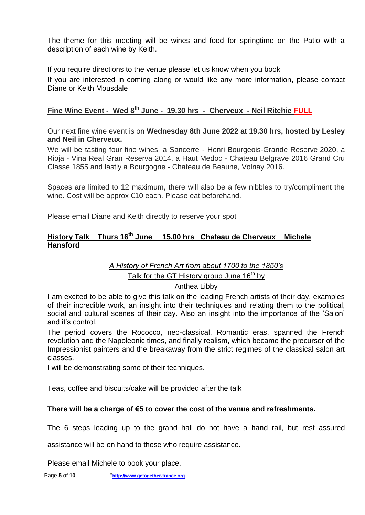The theme for this meeting will be wines and food for springtime on the Patio with a description of each wine by Keith.

If you require directions to the venue please let us know when you book

If you are interested in coming along or would like any more information, please contact Diane or Keith Mousdale

### **Fine Wine Event - Wed 8th June - 19.30 hrs - Cherveux - Neil Ritchie FULL**

Our next fine wine event is on **Wednesday 8th June 2022 at 19.30 hrs, hosted by Lesley and Neil in Cherveux.**

We will be tasting four fine wines, a Sancerre - Henri Bourgeois-Grande Reserve 2020, a Rioja - Vina Real Gran Reserva 2014, a Haut Medoc - Chateau Belgrave 2016 Grand Cru Classe 1855 and lastly a Bourgogne - Chateau de Beaune, Volnay 2016.

Spaces are limited to 12 maximum, there will also be a few nibbles to try/compliment the wine. Cost will be approx €10 each. Please eat beforehand.

Please email Diane and Keith directly to reserve your spot

### **History Talk Thurs 16th June 15.00 hrs Chateau de Cherveux Michele Hansford**

## *A History of French Art from about 1700 to the 1850's*

Talk for the GT History group June  $16<sup>th</sup>$  by

### Anthea Libby

I am excited to be able to give this talk on the leading French artists of their day, examples of their incredible work, an insight into their techniques and relating them to the political, social and cultural scenes of their day. Also an insight into the importance of the 'Salon' and it's control.

The period covers the Rococco, neo-classical, Romantic eras, spanned the French revolution and the Napoleonic times, and finally realism, which became the precursor of the Impressionist painters and the breakaway from the strict regimes of the classical salon art classes.

I will be demonstrating some of their techniques.

Teas, coffee and biscuits/cake will be provided after the talk

### **There will be a charge of €5 to cover the cost of the venue and refreshments.**

The 6 steps leading up to the grand hall do not have a hand rail, but rest assured

assistance will be on hand to those who require assistance.

Please email Michele to book your place.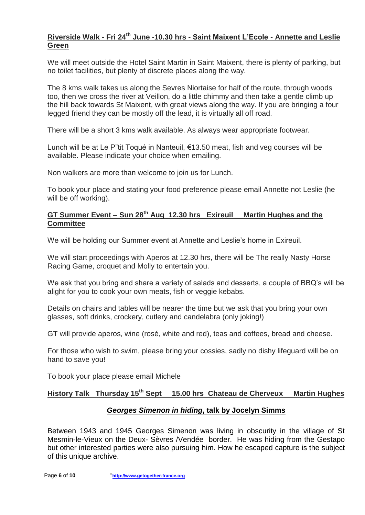### **Riverside Walk - Fri 24th June -10.30 hrs - Saint Maixent L'Ecole - Annette and Leslie Green**

We will meet outside the Hotel Saint Martin in Saint Maixent, there is plenty of parking, but no toilet facilities, but plenty of discrete places along the way.

The 8 kms walk takes us along the Sevres Niortaise for half of the route, through woods too, then we cross the river at Veillon, do a little chimmy and then take a gentle climb up the hill back towards St Maixent, with great views along the way. If you are bringing a four legged friend they can be mostly off the lead, it is virtually all off road.

There will be a short 3 kms walk available. As always wear appropriate footwear.

Lunch will be at Le P"tit Toqué in Nanteuil, €13.50 meat, fish and veg courses will be available. Please indicate your choice when emailing.

Non walkers are more than welcome to join us for Lunch.

To book your place and stating your food preference please email Annette not Leslie (he will be off working).

### **GT Summer Event – Sun 28th Aug 12.30 hrs Exireuil Martin Hughes and the Committee**

We will be holding our Summer event at Annette and Leslie's home in Exireuil.

We will start proceedings with Aperos at 12.30 hrs, there will be The really Nasty Horse Racing Game, croquet and Molly to entertain you.

We ask that you bring and share a variety of salads and desserts, a couple of BBQ's will be alight for you to cook your own meats, fish or veggie kebabs.

Details on chairs and tables will be nearer the time but we ask that you bring your own glasses, soft drinks, crockery, cutlery and candelabra (only joking!)

GT will provide aperos, wine (rosé, white and red), teas and coffees, bread and cheese.

For those who wish to swim, please bring your cossies, sadly no dishy lifeguard will be on hand to save you!

To book your place please email Michele

### **History Talk Thursday 15 th Sept 15.00 hrs Chateau de Cherveux Martin Hughes**

### *Georges Simenon in hiding***, talk by Jocelyn Simms**

Between 1943 and 1945 Georges Simenon was living in obscurity in the village of St Mesmin-le-Vieux on the Deux- Sèvres /Vendée border. He was hiding from the Gestapo but other interested parties were also pursuing him. How he escaped capture is the subject of this unique archive.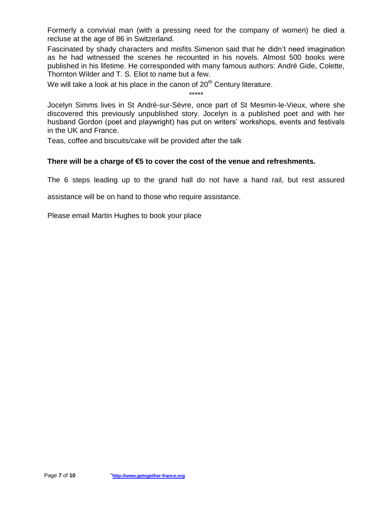Formerly a convivial man (with a pressing need for the company of women) he died a recluse at the age of 86 in Switzerland.

Fascinated by shady characters and misfits Simenon said that he didn't need imagination as he had witnessed the scenes he recounted in his novels. Almost 500 books were published in his lifetime. He corresponded with many famous authors: André Gide, Colette, Thornton Wilder and T. S. Eliot to name but a few.

We will take a look at his place in the canon of  $20<sup>th</sup>$  Century literature.

\*\*\*\*\*

Jocelyn Simms lives in St André-sur-Sèvre, once part of St Mesmin-le-Vieux, where she discovered this previously unpublished story. Jocelyn is a published poet and with her husband Gordon (poet and playwright) has put on writers' workshops, events and festivals in the UK and France.

Teas, coffee and biscuits/cake will be provided after the talk

### **There will be a charge of €5 to cover the cost of the venue and refreshments.**

The 6 steps leading up to the grand hall do not have a hand rail, but rest assured

assistance will be on hand to those who require assistance.

Please email Martin Hughes to book your place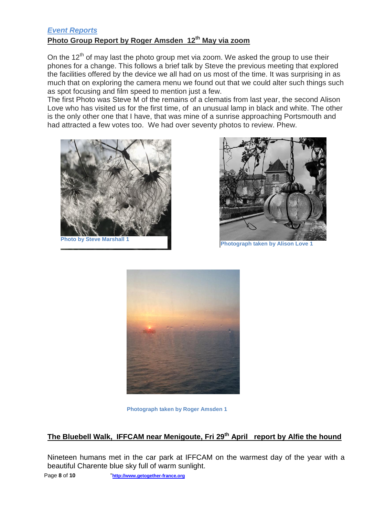### *Event Reports* **Photo Group Report by Roger Amsden 12th May via zoom**

On the  $12<sup>th</sup>$  of may last the photo group met via zoom. We asked the group to use their phones for a change. This follows a brief talk by Steve the previous meeting that explored the facilities offered by the device we all had on us most of the time. It was surprising in as much that on exploring the camera menu we found out that we could alter such things such as spot focusing and film speed to mention just a few.

The first Photo was Steve M of the remains of a clematis from last year, the second Alison Love who has visited us for the first time, of an unusual lamp in black and white. The other is the only other one that I have, that was mine of a sunrise approaching Portsmouth and had attracted a few votes too. We had over seventy photos to review. Phew.



**Photo by Steve Marshall 1**



**Photograph taken by Alison Love 1**



**Photograph taken by Roger Amsden 1**

### **The Bluebell Walk, IFFCAM near Menigoute, Fri 29th April report by Alfie the hound**

Nineteen humans met in the car park at IFFCAM on the warmest day of the year with a beautiful Charente blue sky full of warm sunlight.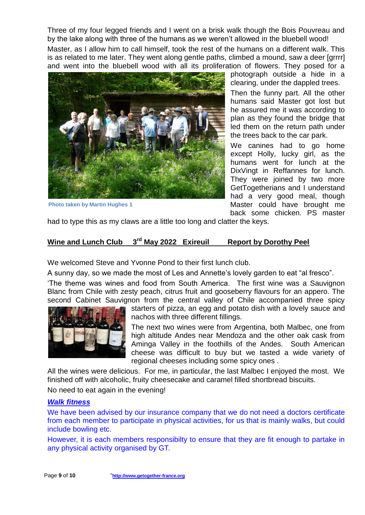Three of my four legged friends and I went on a brisk walk though the Bois Pouvreau and by the lake along with three of the humans as we weren't allowed in the bluebell wood!

Master, as I allow him to call himself, took the rest of the humans on a different walk. This is as related to me later. They went along gentle paths, climbed a mound, saw a deer [grrrr] and went into the bluebell wood with all its proliferation of flowers. They posed for a



**Photo taken by Martin Hughes 1**

photograph outside a hide in a clearing, under the dappled trees.

Then the funny part. All the other humans said Master got lost but he assured me it was according to plan as they found the bridge that led them on the return path under the trees back to the car park.

We canines had to go home except Holly, lucky girl, as the humans went for lunch at the DixVingt in Reffannes for lunch. They were joined by two more GetTogetherians and I understand had a very good meal, though Master could have brought me back some chicken. PS master

had to type this as my claws are a little too long and clatter the keys.

### **Wine and Lunch Club 3rd May 2022 Exireuil Report by Dorothy Peel**

We welcomed Steve and Yvonne Pond to their first lunch club.

A sunny day, so we made the most of Les and Annette's lovely garden to eat "al fresco".

'The theme was wines and food from South America. The first wine was a Sauvignon Blanc from Chile with zesty peach, citrus fruit and gooseberry flavours for an appero. The second Cabinet Sauvignon from the central valley of Chile accompanied three spicy



starters of pizza, an egg and potato dish with a lovely sauce and nachos with three different fillings.

The next two wines were from Argentina, both Malbec, one from high altitude Andes near Mendoza and the other oak cask from Aminga Valley in the foothills of the Andes. South American cheese was difficult to buy but we tasted a wide variety of regional cheeses including some spicy ones .

All the wines were delicious. For me, in particular, the last Malbec I enjoyed the most. We finished off with alcoholic, fruity cheesecake and caramel filled shortbread biscuits.

No need to eat again in the evening!

### *Walk fitness*

We have been advised by our insurance company that we do not need a doctors certificate from each member to participate in physical activities, for us that is mainly walks, but could include bowling etc.

However, it is each members responsibilty to ensure that they are fit enough to partake in any physical activity organised by GT.